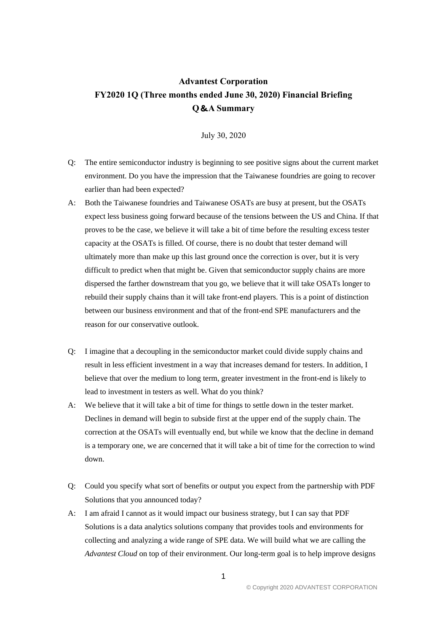## **Advantest Corporation FY2020 1Q (Three months ended June 30, 2020) Financial Briefing Q**&**A Summary**

July 30, 2020

- Q: The entire semiconductor industry is beginning to see positive signs about the current market environment. Do you have the impression that the Taiwanese foundries are going to recover earlier than had been expected?
- A: Both the Taiwanese foundries and Taiwanese OSATs are busy at present, but the OSATs expect less business going forward because of the tensions between the US and China. If that proves to be the case, we believe it will take a bit of time before the resulting excess tester capacity at the OSATs is filled. Of course, there is no doubt that tester demand will ultimately more than make up this last ground once the correction is over, but it is very difficult to predict when that might be. Given that semiconductor supply chains are more dispersed the farther downstream that you go, we believe that it will take OSATs longer to rebuild their supply chains than it will take front-end players. This is a point of distinction between our business environment and that of the front-end SPE manufacturers and the reason for our conservative outlook.
- Q: I imagine that a decoupling in the semiconductor market could divide supply chains and result in less efficient investment in a way that increases demand for testers. In addition, I believe that over the medium to long term, greater investment in the front-end is likely to lead to investment in testers as well. What do you think?
- A: We believe that it will take a bit of time for things to settle down in the tester market. Declines in demand will begin to subside first at the upper end of the supply chain. The correction at the OSATs will eventually end, but while we know that the decline in demand is a temporary one, we are concerned that it will take a bit of time for the correction to wind down.
- Q: Could you specify what sort of benefits or output you expect from the partnership with PDF Solutions that you announced today?
- A: I am afraid I cannot as it would impact our business strategy, but I can say that PDF Solutions is a data analytics solutions company that provides tools and environments for collecting and analyzing a wide range of SPE data. We will build what we are calling the *Advantest Cloud* on top of their environment. Our long-term goal is to help improve designs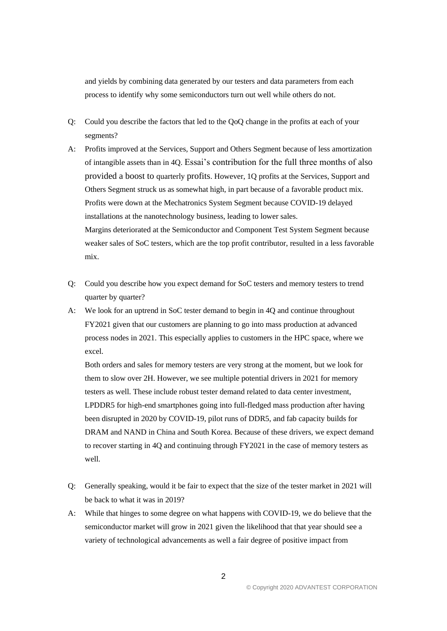and yields by combining data generated by our testers and data parameters from each process to identify why some semiconductors turn out well while others do not.

- Q: Could you describe the factors that led to the QoQ change in the profits at each of your segments?
- A: Profits improved at the Services, Support and Others Segment because of less amortization of intangible assets than in 4Q. Essai's contribution for the full three months of also provided a boost to quarterly profits. However, 1Q profits at the Services, Support and Others Segment struck us as somewhat high, in part because of a favorable product mix. Profits were down at the Mechatronics System Segment because COVID-19 delayed installations at the nanotechnology business, leading to lower sales. Margins deteriorated at the Semiconductor and Component Test System Segment because weaker sales of SoC testers, which are the top profit contributor, resulted in a less favorable mix.
- Q: Could you describe how you expect demand for SoC testers and memory testers to trend quarter by quarter?
- A: We look for an uptrend in SoC tester demand to begin in 4Q and continue throughout FY2021 given that our customers are planning to go into mass production at advanced process nodes in 2021. This especially applies to customers in the HPC space, where we excel.

Both orders and sales for memory testers are very strong at the moment, but we look for them to slow over 2H. However, we see multiple potential drivers in 2021 for memory testers as well. These include robust tester demand related to data center investment, LPDDR5 for high-end smartphones going into full-fledged mass production after having been disrupted in 2020 by COVID-19, pilot runs of DDR5, and fab capacity builds for DRAM and NAND in China and South Korea. Because of these drivers, we expect demand to recover starting in 4Q and continuing through FY2021 in the case of memory testers as well.

- Q: Generally speaking, would it be fair to expect that the size of the tester market in 2021 will be back to what it was in 2019?
- A: While that hinges to some degree on what happens with COVID-19, we do believe that the semiconductor market will grow in 2021 given the likelihood that that year should see a variety of technological advancements as well a fair degree of positive impact from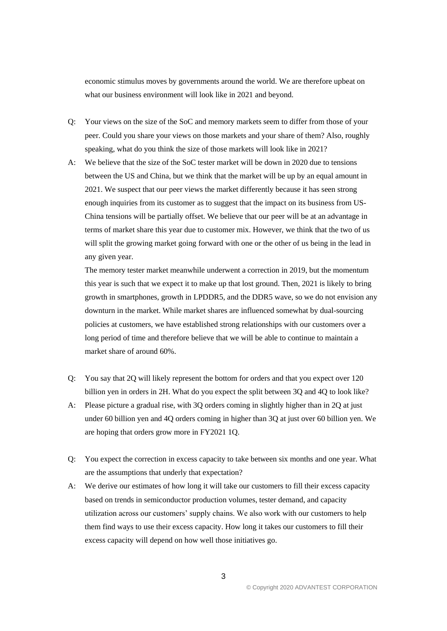economic stimulus moves by governments around the world. We are therefore upbeat on what our business environment will look like in 2021 and beyond.

- Q: Your views on the size of the SoC and memory markets seem to differ from those of your peer. Could you share your views on those markets and your share of them? Also, roughly speaking, what do you think the size of those markets will look like in 2021?
- A: We believe that the size of the SoC tester market will be down in 2020 due to tensions between the US and China, but we think that the market will be up by an equal amount in 2021. We suspect that our peer views the market differently because it has seen strong enough inquiries from its customer as to suggest that the impact on its business from US-China tensions will be partially offset. We believe that our peer will be at an advantage in terms of market share this year due to customer mix. However, we think that the two of us will split the growing market going forward with one or the other of us being in the lead in any given year.

The memory tester market meanwhile underwent a correction in 2019, but the momentum this year is such that we expect it to make up that lost ground. Then, 2021 is likely to bring growth in smartphones, growth in LPDDR5, and the DDR5 wave, so we do not envision any downturn in the market. While market shares are influenced somewhat by dual-sourcing policies at customers, we have established strong relationships with our customers over a long period of time and therefore believe that we will be able to continue to maintain a market share of around 60%.

- Q: You say that 2Q will likely represent the bottom for orders and that you expect over 120 billion yen in orders in 2H. What do you expect the split between 3Q and 4Q to look like?
- A: Please picture a gradual rise, with 3Q orders coming in slightly higher than in 2Q at just under 60 billion yen and 4Q orders coming in higher than 3Q at just over 60 billion yen. We are hoping that orders grow more in FY2021 1Q.
- Q: You expect the correction in excess capacity to take between six months and one year. What are the assumptions that underly that expectation?
- A: We derive our estimates of how long it will take our customers to fill their excess capacity based on trends in semiconductor production volumes, tester demand, and capacity utilization across our customers' supply chains. We also work with our customers to help them find ways to use their excess capacity. How long it takes our customers to fill their excess capacity will depend on how well those initiatives go.